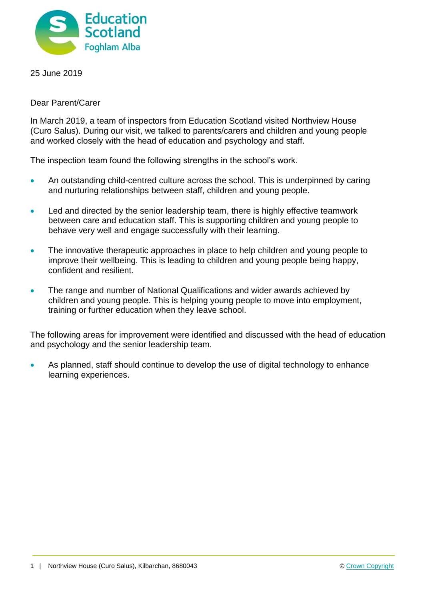

25 June 2019

Dear Parent/Carer

In March 2019, a team of inspectors from Education Scotland visited Northview House (Curo Salus). During our visit, we talked to parents/carers and children and young people and worked closely with the head of education and psychology and staff.

The inspection team found the following strengths in the school's work.

- An outstanding child-centred culture across the school. This is underpinned by caring and nurturing relationships between staff, children and young people.
- Led and directed by the senior leadership team, there is highly effective teamwork between care and education staff. This is supporting children and young people to behave very well and engage successfully with their learning.
- The innovative therapeutic approaches in place to help children and young people to improve their wellbeing. This is leading to children and young people being happy, confident and resilient.
- The range and number of National Qualifications and wider awards achieved by children and young people. This is helping young people to move into employment, training or further education when they leave school.

The following areas for improvement were identified and discussed with the head of education and psychology and the senior leadership team.

 As planned, staff should continue to develop the use of digital technology to enhance learning experiences.